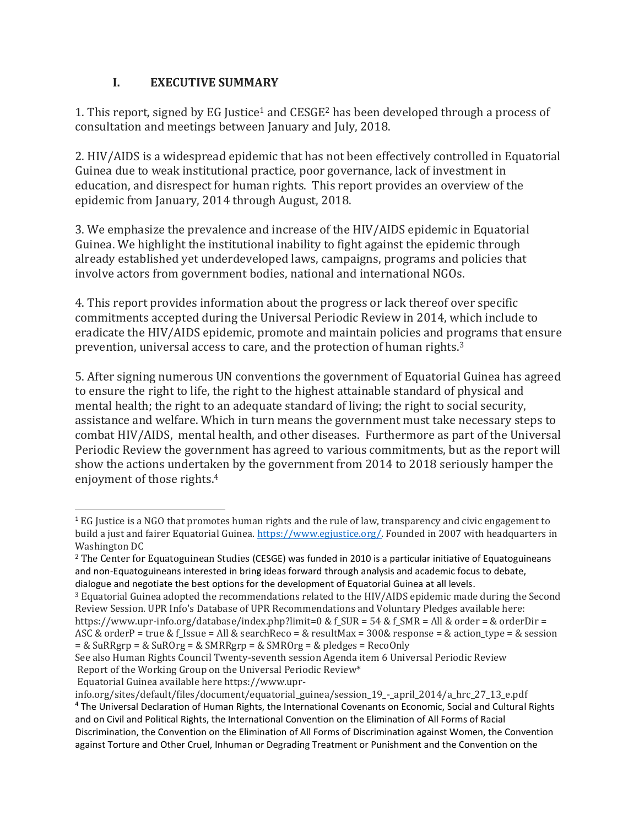### **I. EXECUTIVE SUMMARY**

1. This report, signed by EG Justice<sup>1</sup> and CESGE<sup>2</sup> has been developed through a process of consultation and meetings between January and July, 2018.

2. HIV/AIDS is a widespread epidemic that has not been effectively controlled in Equatorial Guinea due to weak institutional practice, poor governance, lack of investment in education, and disrespect for human rights. This report provides an overview of the epidemic from January, 2014 through August, 2018.

3. We emphasize the prevalence and increase of the HIV/AIDS epidemic in Equatorial Guinea. We highlight the institutional inability to fight against the epidemic through already established yet underdeveloped laws, campaigns, programs and policies that involve actors from government bodies, national and international NGOs.

4. This report provides information about the progress or lack thereof over specific commitments accepted during the Universal Periodic Review in 2014, which include to eradicate the HIV/AIDS epidemic, promote and maintain policies and programs that ensure prevention, universal access to care, and the protection of human rights.<sup>3</sup>

5. After signing numerous UN conventions the government of Equatorial Guinea has agreed to ensure the right to life, the right to the highest attainable standard of physical and mental health; the right to an adequate standard of living; the right to social security, assistance and welfare. Which in turn means the government must take necessary steps to combat HIV/AIDS, mental health, and other diseases. Furthermore as part of the Universal Periodic Review the government has agreed to various commitments, but as the report will show the actions undertaken by the government from 2014 to 2018 seriously hamper the enjoyment of those rights.<sup>4</sup>

<sup>3</sup> Equatorial Guinea adopted the recommendations related to the HIV/AIDS epidemic made during the Second Review Session. UPR Info's Database of UPR Recommendations and Voluntary Pledges available here: https://www.upr-info.org/database/index.php?limit=0 & f SUR = 54 & f SMR = All & order = & orderDir =

Equatorial Guinea available here https://www.upr-

l

 $1$  EG Justice is a NGO that promotes human rights and the rule of law, transparency and civic engagement to build a just and fairer Equatorial Guinea[. https://www.egjustice.org/.](https://www.egjustice.org/) Founded in 2007 with headquarters in Washington DC

<sup>2</sup> The Center for Equatoguinean Studies (CESGE) was funded in 2010 is a particular initiative of Equatoguineans and non-Equatoguineans interested in bring ideas forward through analysis and academic focus to debate, dialogue and negotiate the best options for the development of Equatorial Guinea at all levels.

ASC & orderP = true & f\_Issue = All & searchReco = & resultMax =  $300\&$  response = & action\_type = & session  $=$  & SuRRgrp = & SuROrg = & SMRRgrp = & SMROrg = & pledges = RecoOnly

See also Human Rights Council Twenty-seventh session Agenda item 6 Universal Periodic Review Report of the Working Group on the Universal Periodic Review\*

info.org/sites/default/files/document/equatorial\_guinea/session\_19\_-\_april\_2014/a\_hrc\_27\_13\_e.pdf

<sup>4</sup> The Universal Declaration of Human Rights, the International Covenants on Economic, Social and Cultural Rights and on Civil and Political Rights, the International Convention on the Elimination of All Forms of Racial Discrimination, the Convention on the Elimination of All Forms of Discrimination against Women, the Convention against Torture and Other Cruel, Inhuman or Degrading Treatment or Punishment and the Convention on the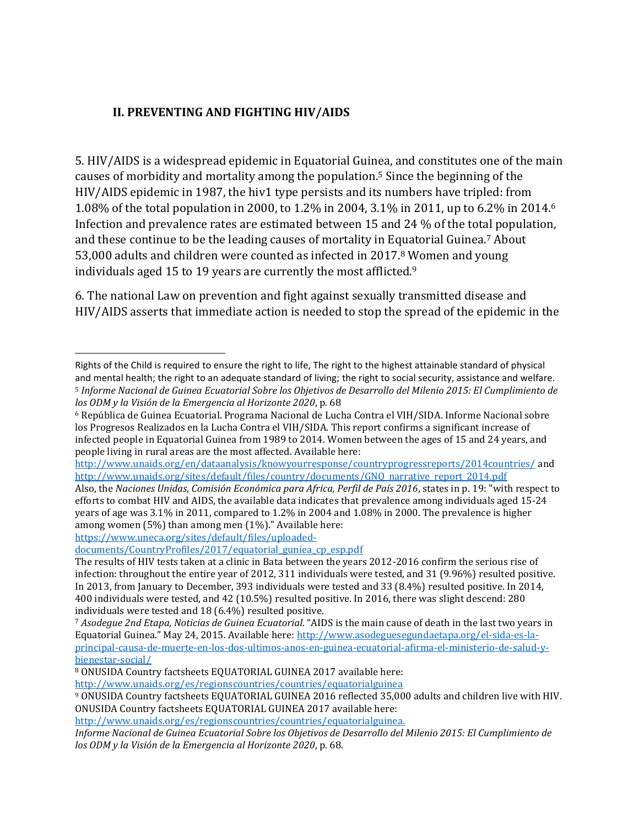### **II. PREVENTING AND FIGHTING HIV/AIDS**

5. HIV/AIDS is a widespread epidemic in Equatorial Guinea, and constitutes one of the main causes of morbidity and mortality among the population.<sup>5</sup> Since the beginning of the HIV/AIDS epidemic in 1987, the hiv1 type persists and its numbers have tripled: from 1.08% of the total population in 2000, to 1.2% in 2004, 3.1% in 2011, up to 6.2% in 2014.<sup>6</sup> Infection and prevalence rates are estimated between 15 and 24 % of the total population, and these continue to be the leading causes of mortality in Equatorial Guinea.<sup>7</sup> About 53,000 adults and children were counted as infected in 2017. <sup>8</sup> Women and young individuals aged 15 to 19 years are currently the most afflicted.<sup>9</sup>

6. The national Law on prevention and fight against sexually transmitted disease and HIV/AIDS asserts that immediate action is needed to stop the spread of the epidemic in the

<http://www.unaids.org/en/dataanalysis/knowyourresponse/countryprogressreports/2014countries/> and [http://www.unaids.org/sites/default/files/country/documents/GNQ\\_narrative\\_report\\_2014.pdf](http://www.unaids.org/sites/default/files/country/documents/GNQ_narrative_report_2014.pdf)

Also, the *Naciones Unidas, Comisión Económica para Africa, Perfil de País 2016*, states in p. 19: "with respect to efforts to combat HIV and AIDS, the available data indicates that prevalence among individuals aged 15-24 years of age was 3.1% in 2011, compared to 1.2% in 2004 and 1.08% in 2000. The prevalence is higher among women (5%) than among men (1%)." Available here:

[https://www.uneca.org/sites/default/files/uploaded-](https://www.uneca.org/sites/default/files/uploaded-documents/CountryProfiles/2017/equatorial_guniea_cp_esp.pdf)

 $\overline{\phantom{a}}$ 

[documents/CountryProfiles/2017/equatorial\\_guniea\\_cp\\_esp.pdf](https://www.uneca.org/sites/default/files/uploaded-documents/CountryProfiles/2017/equatorial_guniea_cp_esp.pdf)

<http://www.unaids.org/es/regionscountries/countries/equatorialguinea>

[http://www.unaids.org/es/regionscountries/countries/equatorialguinea.](http://www.unaids.org/es/regionscountries/countries/equatorialguinea)

*Informe Nacional de Guinea Ecuatorial Sobre los Objetivos de Desarrollo del Milenio 2015: El Cumplimiento de los ODM y la Visión de la Emergencia al Horizonte 2020*, p. 68.

Rights of the Child is required to ensure the right to life, The right to the highest attainable standard of physical and mental health; the right to an adequate standard of living; the right to social security, assistance and welfare. <sup>5</sup> *Informe Nacional de Guinea Ecuatorial Sobre los Objetivos de Desarrollo del Milenio 2015: El Cumplimiento de los ODM y la Visión de la Emergencia al Horizonte 2020*, p. 68

<sup>6</sup> República de Guinea Ecuatorial. Programa Nacional de Lucha Contra el VIH/SIDA. Informe Nacional sobre los Progresos Realizados en la Lucha Contra el VIH/SIDA. This report confirms a significant increase of infected people in Equatorial Guinea from 1989 to 2014. Women between the ages of 15 and 24 years, and people living in rural areas are the most affected. Available here:

The results of HIV tests taken at a clinic in Bata between the years 2012-2016 confirm the serious rise of infection: throughout the entire year of 2012, 311 individuals were tested, and 31 (9.96%) resulted positive. In 2013, from January to December, 393 individuals were tested and 33 (8.4%) resulted positive. In 2014, 400 individuals were tested, and 42 (10.5%) resulted positive. In 2016, there was slight descend: 280 individuals were tested and 18 (6.4%) resulted positive.

<sup>7</sup> *Asodegue 2nd Etapa, Noticias de Guinea Ecuatorial*. "AIDS is the main cause of death in the last two years in Equatorial Guinea." May 24, 2015. Available here: [http://www.asodeguesegundaetapa.org/el-sida-es-la](http://www.asodeguesegundaetapa.org/el-sida-es-la-principal-causa-de-muerte-en-los-dos-ultimos-anos-en-guinea-ecuatorial-afirma-el-ministerio-de-salud-y-bienestar-social/)[principal-causa-de-muerte-en-los-dos-ultimos-anos-en-guinea-ecuatorial-afirma-el-ministerio-de-salud-y](http://www.asodeguesegundaetapa.org/el-sida-es-la-principal-causa-de-muerte-en-los-dos-ultimos-anos-en-guinea-ecuatorial-afirma-el-ministerio-de-salud-y-bienestar-social/)[bienestar-social/](http://www.asodeguesegundaetapa.org/el-sida-es-la-principal-causa-de-muerte-en-los-dos-ultimos-anos-en-guinea-ecuatorial-afirma-el-ministerio-de-salud-y-bienestar-social/)

<sup>8</sup> ONUSIDA Country factsheets EQUATORIAL GUINEA 2017 available here:

<sup>9</sup> ONUSIDA Country factsheets EQUATORIAL GUINEA 2016 reflected 35,000 adults and children live with HIV. ONUSIDA Country factsheets EQUATORIAL GUINEA 2017 available here: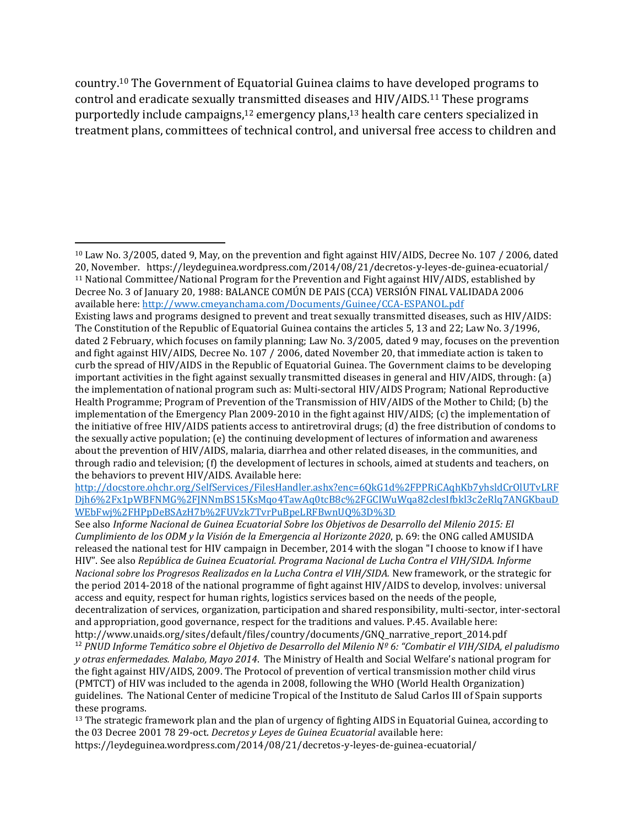country. <sup>10</sup> The Government of Equatorial Guinea claims to have developed programs to control and eradicate sexually transmitted diseases and HIV/AIDS.<sup>11</sup> These programs purportedly include campaigns,<sup>12</sup> emergency plans,<sup>13</sup> health care centers specialized in treatment plans, committees of technical control, and universal free access to children and

<sup>10</sup> Law No. 3/2005, dated 9, May, on the prevention and fight against HIV/AIDS, Decree No. 107 / 2006, dated 20, November. https://leydeguinea.wordpress.com/2014/08/21/decretos-y-leyes-de-guinea-ecuatorial/ <sup>11</sup> National Committee/National Program for the Prevention and Fight against HIV/AIDS, established by Decree No. 3 of January 20, 1988: BALANCE COMÚN DE PAIS (CCA) VERSIÓN FINAL VALIDADA 2006 available here[: http://www.cmeyanchama.com/Documents/Guinee/CCA-ESPANOL.pdf](http://www.cmeyanchama.com/Documents/Guinee/CCA-ESPANOL.pdf)

Existing laws and programs designed to prevent and treat sexually transmitted diseases, such as HIV/AIDS: The Constitution of the Republic of Equatorial Guinea contains the articles 5, 13 and 22; Law No. 3/1996, dated 2 February, which focuses on family planning; Law No. 3/2005, dated 9 may, focuses on the prevention and fight against HIV/AIDS, Decree No. 107 / 2006, dated November 20, that immediate action is taken to curb the spread of HIV/AIDS in the Republic of Equatorial Guinea. The Government claims to be developing important activities in the fight against sexually transmitted diseases in general and HIV/AIDS, through: (a) the implementation of national program such as: Multi-sectoral HIV/AIDS Program; National Reproductive Health Programme; Program of Prevention of the Transmission of HIV/AIDS of the Mother to Child; (b) the implementation of the Emergency Plan 2009-2010 in the fight against HIV/AIDS; (c) the implementation of the initiative of free HIV/AIDS patients access to antiretroviral drugs; (d) the free distribution of condoms to the sexually active population; (e) the continuing development of lectures of information and awareness about the prevention of HIV/AIDS, malaria, diarrhea and other related diseases, in the communities, and through radio and television; (f) the development of lectures in schools, aimed at students and teachers, on the behaviors to prevent HIV/AIDS. Available here:

[http://docstore.ohchr.org/SelfServices/FilesHandler.ashx?enc=6QkG1d%2FPPRiCAqhKb7yhsldCrOlUTvLRF](http://docstore.ohchr.org/SelfServices/FilesHandler.ashx?enc=6QkG1d%2FPPRiCAqhKb7yhsldCrOlUTvLRFDjh6%2Fx1pWBFNMG%2FJNNmBS15KsMqo4TawAq0tcB8c%2FGCIWuWqa82clesIfbkl3c2eRlq7ANGKbauDWEbFwj%2FHPpDeBSAzH7b%2FUVzk7TvrPuBpeLRFBwnUQ%3D%3D) [Djh6%2Fx1pWBFNMG%2FJNNmBS15KsMqo4TawAq0tcB8c%2FGCIWuWqa82clesIfbkl3c2eRlq7ANGKbauD](http://docstore.ohchr.org/SelfServices/FilesHandler.ashx?enc=6QkG1d%2FPPRiCAqhKb7yhsldCrOlUTvLRFDjh6%2Fx1pWBFNMG%2FJNNmBS15KsMqo4TawAq0tcB8c%2FGCIWuWqa82clesIfbkl3c2eRlq7ANGKbauDWEbFwj%2FHPpDeBSAzH7b%2FUVzk7TvrPuBpeLRFBwnUQ%3D%3D) [WEbFwj%2FHPpDeBSAzH7b%2FUVzk7TvrPuBpeLRFBwnUQ%3D%3D](http://docstore.ohchr.org/SelfServices/FilesHandler.ashx?enc=6QkG1d%2FPPRiCAqhKb7yhsldCrOlUTvLRFDjh6%2Fx1pWBFNMG%2FJNNmBS15KsMqo4TawAq0tcB8c%2FGCIWuWqa82clesIfbkl3c2eRlq7ANGKbauDWEbFwj%2FHPpDeBSAzH7b%2FUVzk7TvrPuBpeLRFBwnUQ%3D%3D)

See also *Informe Nacional de Guinea Ecuatorial Sobre los Objetivos de Desarrollo del Milenio 2015: El Cumplimiento de los ODM y la Visión de la Emergencia al Horizonte 2020*, p. 69: the ONG called AMUSIDA released the national test for HIV campaign in December, 2014 with the slogan "I choose to know if I have HIV". See also *República de Guinea Ecuatorial. Programa Nacional de Lucha Contra el VIH/SIDA. Informe Nacional sobre los Progresos Realizados en la Lucha Contra el VIH/SIDA.* New framework, or the strategic for the period 2014-2018 of the national programme of fight against HIV/AIDS to develop, involves: universal access and equity, respect for human rights, logistics services based on the needs of the people, decentralization of services, organization, participation and shared responsibility, multi-sector, inter-sectoral and appropriation, good governance, respect for the traditions and values. P.45. Available here: http://www.unaids.org/sites/default/files/country/documents/GNQ\_narrative\_report\_2014.pdf

<sup>12</sup> *PNUD Informe Temático sobre el Objetivo de Desarrollo del Milenio Nº 6: "Combatir el VIH/SIDA, el paludismo y otras enfermedades. Malabo, Mayo 2014*. The Ministry of Health and Social Welfare's national program for the fight against HIV/AIDS, 2009. The Protocol of prevention of vertical transmission mother child virus (PMTCT) of HIV was included to the agenda in 2008, following the WHO (World Health Organization) guidelines. The National Center of medicine Tropical of the Instituto de Salud Carlos III of Spain supports these programs.

<sup>&</sup>lt;sup>13</sup> The strategic framework plan and the plan of urgency of fighting AIDS in Equatorial Guinea, according to the 03 Decree 2001 78 29-oct. *Decretos y Leyes de Guinea Ecuatorial* available here: https://leydeguinea.wordpress.com/2014/08/21/decretos-y-leyes-de-guinea-ecuatorial/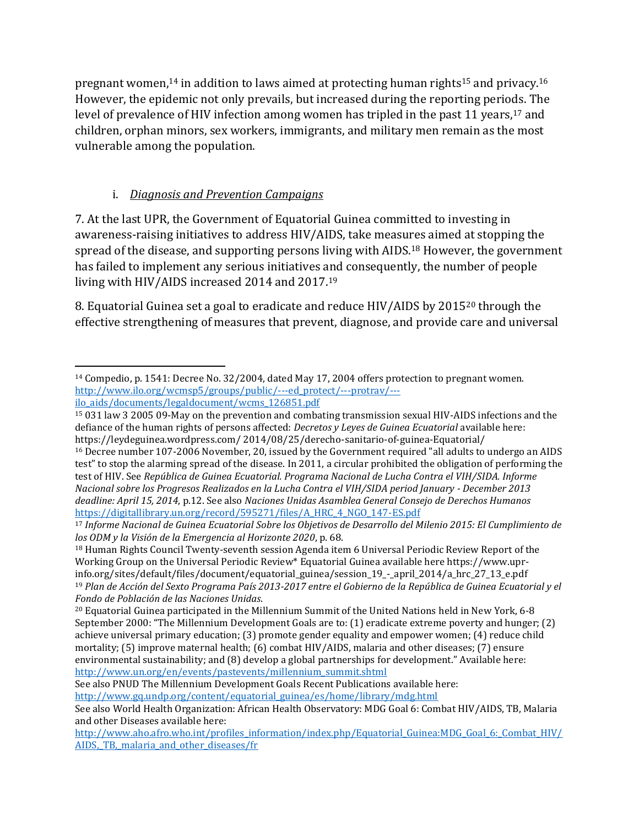pregnant women,<sup>14</sup> in addition to laws aimed at protecting human rights<sup>15</sup> and privacy.<sup>16</sup> However, the epidemic not only prevails, but increased during the reporting periods. The level of prevalence of HIV infection among women has tripled in the past 11 years,<sup>17</sup> and children, orphan minors, sex workers, immigrants, and military men remain as the most vulnerable among the population.

# i. *Diagnosis and Prevention Campaigns*

7. At the last UPR, the Government of Equatorial Guinea committed to investing in awareness-raising initiatives to address HIV/AIDS, take measures aimed at stopping the spread of the disease, and supporting persons living with AIDS.<sup>18</sup> However, the government has failed to implement any serious initiatives and consequently, the number of people living with HIV/AIDS increased 2014 and 2017.<sup>19</sup>

8. Equatorial Guinea set a goal to eradicate and reduce HIV/AIDS by 2015<sup>20</sup> through the effective strengthening of measures that prevent, diagnose, and provide care and universal

See also PNUD The Millennium Development Goals Recent Publications available here: [http://www.gq.undp.org/content/equatorial\\_guinea/es/home/library/mdg.html](http://www.gq.undp.org/content/equatorial_guinea/es/home/library/mdg.html)

 $\overline{a}$ <sup>14</sup> Compedio, p. 1541: Decree No. 32/2004, dated May 17, 2004 offers protection to pregnant women. [http://www.ilo.org/wcmsp5/groups/public/---ed\\_protect/---protrav/--](http://www.ilo.org/wcmsp5/groups/public/---ed_protect/---protrav/---ilo_aids/documents/legaldocument/wcms_126851.pdf) [ilo\\_aids/documents/legaldocument/wcms\\_126851.pdf](http://www.ilo.org/wcmsp5/groups/public/---ed_protect/---protrav/---ilo_aids/documents/legaldocument/wcms_126851.pdf)

<sup>15</sup> 031 law 3 2005 09-May on the prevention and combating transmission sexual HIV-AIDS infections and the defiance of the human rights of persons affected: *Decretos y Leyes de Guinea Ecuatorial* available here: https://leydeguinea.wordpress.com/ 2014/08/25/derecho-sanitario-of-guinea-Equatorial/

<sup>16</sup> Decree number 107-2006 November, 20, issued by the Government required "all adults to undergo an AIDS test" to stop the alarming spread of the disease. In 2011, a circular prohibited the obligation of performing the test of HIV. See *República de Guinea Ecuatorial. Programa Nacional de Lucha Contra el VIH/SIDA. Informe Nacional sobre los Progresos Realizados en la Lucha Contra el VIH/SIDA period January - December 2013 deadline: April 15, 2014*, p.12. See also *Naciones Unidas Asamblea General Consejo de Derechos Humanos* [https://digitallibrary.un.org/record/595271/files/A\\_HRC\\_4\\_NGO\\_147-ES.pdf](https://digitallibrary.un.org/record/595271/files/A_HRC_4_NGO_147-ES.pdf)

<sup>17</sup> *Informe Nacional de Guinea Ecuatorial Sobre los Objetivos de Desarrollo del Milenio 2015: El Cumplimiento de los ODM y la Visión de la Emergencia al Horizonte 2020*, p. 68.

<sup>18</sup> Human Rights Council Twenty-seventh session Agenda item 6 Universal Periodic Review Report of the Working Group on the Universal Periodic Review\* Equatorial Guinea available here https://www.uprinfo.org/sites/default/files/document/equatorial\_guinea/session\_19\_-\_april\_2014/a\_hrc\_27\_13\_e.pdf <sup>19</sup> *Plan de Acción del Sexto Programa País 2013-2017 entre el Gobierno de la República de Guinea Ecuatorial y el Fondo de Población de las Naciones Unidas*.

<sup>20</sup> Equatorial Guinea participated in the Millennium Summit of the United Nations held in New York, 6-8 September 2000: "The Millennium Development Goals are to: (1) eradicate extreme poverty and hunger; (2) achieve universal primary education; (3) promote gender equality and empower women; (4) reduce child mortality; (5) improve maternal health; (6) combat HIV/AIDS, malaria and other diseases; (7) ensure environmental sustainability; and (8) develop a global partnerships for development." Available here: [http://www.un.org/en/events/pastevents/millennium\\_summit.shtml](http://www.un.org/en/events/pastevents/millennium_summit.shtml)

See also World Health Organization: African Health Observatory: MDG Goal 6: Combat HIV/AIDS, TB, Malaria and other Diseases available here:

[http://www.aho.afro.who.int/profiles\\_information/index.php/Equatorial\\_Guinea:MDG\\_Goal\\_6:\\_Combat\\_HIV/](http://www.aho.afro.who.int/profiles_information/index.php/Equatorial_Guinea:MDG_Goal_6:_Combat_HIV/AIDS,_TB,_malaria_and_other_diseases/fr) AIDS, TB, malaria and other diseases/fr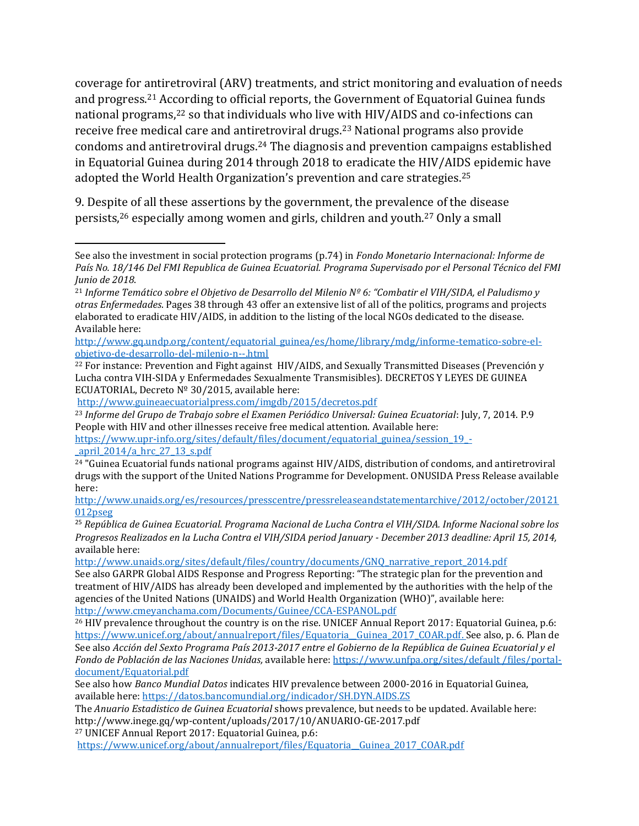coverage for antiretroviral (ARV) treatments, and strict monitoring and evaluation of needs and progress.<sup>21</sup> According to official reports, the Government of Equatorial Guinea funds national programs,<sup>22</sup> so that individuals who live with HIV/AIDS and co-infections can receive free medical care and antiretroviral drugs.<sup>23</sup> National programs also provide condoms and antiretroviral drugs.<sup>24</sup> The diagnosis and prevention campaigns established in Equatorial Guinea during 2014 through 2018 to eradicate the HIV/AIDS epidemic have adopted the World Health Organization's prevention and care strategies.<sup>25</sup>

9. Despite of all these assertions by the government, the prevalence of the disease persists, <sup>26</sup> especially among women and girls, children and youth. <sup>27</sup> Only a small

<http://www.guineaecuatorialpress.com/imgdb/2015/decretos.pdf>

 $\overline{a}$ 

<sup>23</sup> *Informe del Grupo de Trabajo sobre el Examen Periódico Universal: Guinea Ecuatorial*: July, 7, 2014. P.9 People with HIV and other illnesses receive free medical attention. Available here:

[https://www.upr-info.org/sites/default/files/document/equatorial\\_guinea/session\\_19\\_](https://www.upr-info.org/sites/default/files/document/equatorial_guinea/session_19_-_april_2014/a_hrc_27_13_s.pdf) april  $2014/a$  hrc  $27$  13 s.pdf

[http://www.unaids.org/es/resources/presscentre/pressreleaseandstatementarchive/2012/october/20121](http://www.unaids.org/es/resources/presscentre/pressreleaseandstatementarchive/2012/october/20121012pseg) [012pseg](http://www.unaids.org/es/resources/presscentre/pressreleaseandstatementarchive/2012/october/20121012pseg)

<sup>25</sup> *República de Guinea Ecuatorial. Programa Nacional de Lucha Contra el VIH/SIDA. Informe Nacional sobre los Progresos Realizados en la Lucha Contra el VIH/SIDA period January - December 2013 deadline: April 15, 2014,*  available here:

[http://www.unaids.org/sites/default/files/country/documents/GNQ\\_narrative\\_report\\_2014.pdf](http://www.unaids.org/sites/default/files/country/documents/GNQ_narrative_report_2014.pdf)

See also GARPR Global AIDS Response and Progress Reporting: "The strategic plan for the prevention and treatment of HIV/AIDS has already been developed and implemented by the authorities with the help of the agencies of the United Nations (UNAIDS) and World Health Organization (WHO)", available here: <http://www.cmeyanchama.com/Documents/Guinee/CCA-ESPANOL.pdf>

<sup>26</sup> HIV prevalence throughout the country is on the rise. UNICEF Annual Report 2017: Equatorial Guinea, p.6: https://www.unicef.org/about/annualreport/files/Equatoria\_Guinea\_2017\_COAR.pdf. See also, p. 6. Plan de See also *Acción del Sexto Programa País 2013-2017 entre el Gobierno de la República de Guinea Ecuatorial y el Fondo de Población de las Naciones Unidas,* available here[: https://www.unfpa.org/sites/default /files/portal](https://www.unfpa.org/sites/default/files/portal-document/Equatorial.pdf)[document/Equatorial.pdf](https://www.unfpa.org/sites/default/files/portal-document/Equatorial.pdf)

See also how *Banco Mundial Datos* indicates HIV prevalence between 2000-2016 in Equatorial Guinea, available here[: https://datos.bancomundial.org/indicador/SH.DYN.AIDS.ZS](https://datos.bancomundial.org/indicador/SH.DYN.AIDS.ZS)

The *Anuario Estadistico de Guinea Ecuatorial* shows prevalence, but needs to be updated. Available here: http://www.inege.gq/wp-content/uploads/2017/10/ANUARIO-GE-2017.pdf

<sup>27</sup> UNICEF Annual Report 2017: Equatorial Guinea, p.6:

https://www.unicef.org/about/annualreport/files/Equatoria\_Guinea\_2017\_COAR.pdf

See also the investment in social protection programs (p.74) in *Fondo Monetario Internacional: Informe de País No. 18/146 Del FMI Republica de Guinea Ecuatorial. Programa Supervisado por el Personal Técnico del FMI Junio de 2018*.

<sup>21</sup> *Informe Temático sobre el Objetivo de Desarrollo del Milenio Nº 6: "Combatir el VIH/SIDA, el Paludismo y otras Enfermedades*. Pages 38 through 43 offer an extensive list of all of the politics, programs and projects elaborated to eradicate HIV/AIDS, in addition to the listing of the local NGOs dedicated to the disease. Available here:

[http://www.gq.undp.org/content/equatorial\\_guinea/es/home/library/mdg/informe-tematico-sobre-el](http://www.gq.undp.org/content/equatorial_guinea/es/home/library/mdg/informe-tematico-sobre-el-objetivo-de-desarrollo-del-milenio-n--.html)[objetivo-de-desarrollo-del-milenio-n--.html](http://www.gq.undp.org/content/equatorial_guinea/es/home/library/mdg/informe-tematico-sobre-el-objetivo-de-desarrollo-del-milenio-n--.html)

 $^{22}$  For instance: Prevention and Fight against HIV/AIDS, and Sexually Transmitted Diseases (Prevención y Lucha contra VIH-SIDA y Enfermedades Sexualmente Transmisibles). DECRETOS Y LEYES DE GUINEA ECUATORIAL, Decreto Nº 30/2015, available here:

<sup>24</sup> "Guinea Ecuatorial funds national programs against HIV/AIDS, distribution of condoms, and antiretroviral drugs with the support of the United Nations Programme for Development. ONUSIDA Press Release available here: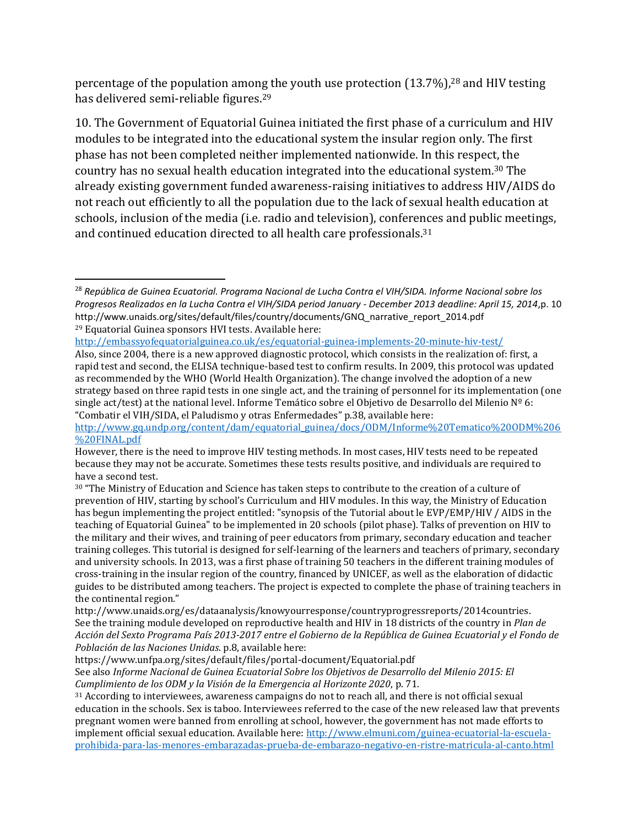percentage of the population among the youth use protection (13.7%),<sup>28</sup> and HIV testing has delivered semi-reliable figures. 29

10. The Government of Equatorial Guinea initiated the first phase of a curriculum and HIV modules to be integrated into the educational system the insular region only. The first phase has not been completed neither implemented nationwide. In this respect, the country has no sexual health education integrated into the educational system. <sup>30</sup> The already existing government funded awareness-raising initiatives to address HIV/AIDS do not reach out efficiently to all the population due to the lack of sexual health education at schools, inclusion of the media (i.e. radio and television), conferences and public meetings, and continued education directed to all health care professionals.<sup>31</sup>

<http://embassyofequatorialguinea.co.uk/es/equatorial-guinea-implements-20-minute-hiv-test/>

<sup>28</sup> *República de Guinea Ecuatorial. Programa Nacional de Lucha Contra el VIH/SIDA. Informe Nacional sobre los Progresos Realizados en la Lucha Contra el VIH/SIDA period January - December 2013 deadline: April 15, 2014*,p. 10 http://www.unaids.org/sites/default/files/country/documents/GNQ\_narrative\_report\_2014.pdf <sup>29</sup> Equatorial Guinea sponsors HVI tests. Available here:

Also, since 2004, there is a new approved diagnostic protocol, which consists in the realization of: first, a rapid test and second, the ELISA technique-based test to confirm results. In 2009, this protocol was updated as recommended by the WHO (World Health Organization). The change involved the adoption of a new strategy based on three rapid tests in one single act, and the training of personnel for its implementation (one single act/test) at the national level. Informe Temático sobre el Objetivo de Desarrollo del Milenio  $N^{\circ}$  6: "Combatir el VIH/SIDA, el Paludismo y otras Enfermedades" p.38, available here:

[http://www.gq.undp.org/content/dam/equatorial\\_guinea/docs/ODM/Informe%20Tematico%20ODM%206](http://www.gq.undp.org/content/dam/equatorial_guinea/docs/ODM/Informe%20Tematico%20ODM%206%20FINAL.pdf) [%20FINAL.pdf](http://www.gq.undp.org/content/dam/equatorial_guinea/docs/ODM/Informe%20Tematico%20ODM%206%20FINAL.pdf)

However, there is the need to improve HIV testing methods. In most cases, HIV tests need to be repeated because they may not be accurate. Sometimes these tests results positive, and individuals are required to have a second test.

<sup>30</sup> "The Ministry of Education and Science has taken steps to contribute to the creation of a culture of prevention of HIV, starting by school's Curriculum and HIV modules. In this way, the Ministry of Education has begun implementing the project entitled: "synopsis of the Tutorial about le EVP/EMP/HIV / AIDS in the teaching of Equatorial Guinea" to be implemented in 20 schools (pilot phase). Talks of prevention on HIV to the military and their wives, and training of peer educators from primary, secondary education and teacher training colleges. This tutorial is designed for self-learning of the learners and teachers of primary, secondary and university schools. In 2013, was a first phase of training 50 teachers in the different training modules of cross-training in the insular region of the country, financed by UNICEF, as well as the elaboration of didactic guides to be distributed among teachers. The project is expected to complete the phase of training teachers in the continental region."

http://www.unaids.org/es/dataanalysis/knowyourresponse/countryprogressreports/2014countries. See the training module developed on reproductive health and HIV in 18 districts of the country in *Plan de Acción del Sexto Programa País 2013-2017 entre el Gobierno de la República de Guinea Ecuatorial y el Fondo de Población de las Naciones Unidas*. p.8, available here:

https://www.unfpa.org/sites/default/files/portal-document/Equatorial.pdf

See also *Informe Nacional de Guinea Ecuatorial Sobre los Objetivos de Desarrollo del Milenio 2015: El Cumplimiento de los ODM y la Visión de la Emergencia al Horizonte 2020*, p. 71.

<sup>31</sup> According to interviewees, awareness campaigns do not to reach all, and there is not official sexual education in the schools. Sex is taboo. Interviewees referred to the case of the new released law that prevents pregnant women were banned from enrolling at school, however, the government has not made efforts to implement official sexual education. Available here[: http://www.elmuni.com/guinea-ecuatorial-la-escuela](http://www.elmuni.com/guinea-ecuatorial-la-escuela-prohibida-para-las-menores-embarazadas-prueba-de-embarazo-negativo-en-ristre-matricula-al-canto.html)[prohibida-para-las-menores-embarazadas-prueba-de-embarazo-negativo-en-ristre-matricula-al-canto.html](http://www.elmuni.com/guinea-ecuatorial-la-escuela-prohibida-para-las-menores-embarazadas-prueba-de-embarazo-negativo-en-ristre-matricula-al-canto.html)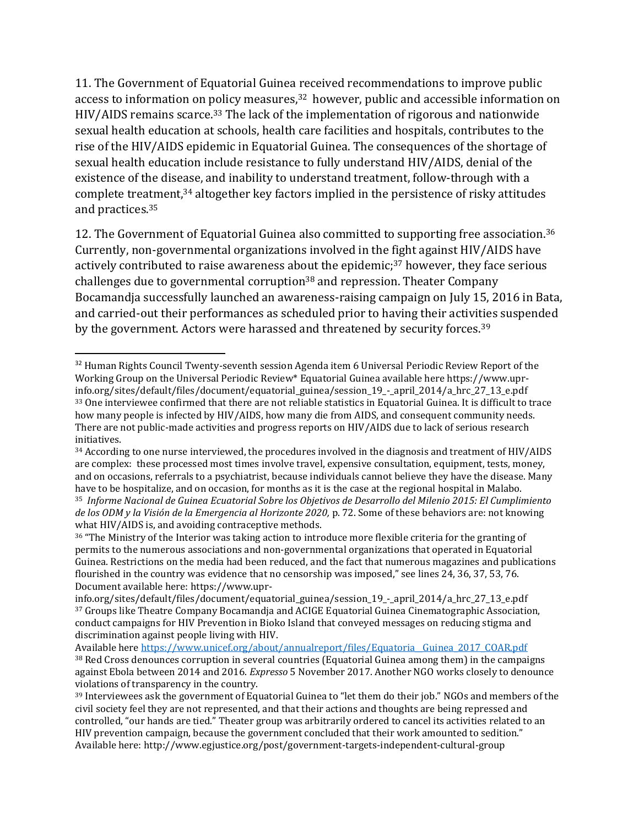11. The Government of Equatorial Guinea received recommendations to improve public access to information on policy measures, <sup>32</sup> however, public and accessible information on HIV/AIDS remains scarce.<sup>33</sup> The lack of the implementation of rigorous and nationwide sexual health education at schools, health care facilities and hospitals, contributes to the rise of the HIV/AIDS epidemic in Equatorial Guinea. The consequences of the shortage of sexual health education include resistance to fully understand HIV/AIDS, denial of the existence of the disease, and inability to understand treatment, follow-through with a complete treatment,<sup>34</sup> altogether key factors implied in the persistence of risky attitudes and practices. 35

12. The Government of Equatorial Guinea also committed to supporting free association.<sup>36</sup> Currently, non-governmental organizations involved in the fight against HIV/AIDS have actively contributed to raise awareness about the epidemic;<sup>37</sup> however, they face serious challenges due to governmental corruption<sup>38</sup> and repression. Theater Company Bocamandja successfully launched an awareness-raising campaign on July 15, 2016 in Bata, and carried-out their performances as scheduled prior to having their activities suspended by the government. Actors were harassed and threatened by security forces. 39

 $\overline{\phantom{a}}$ <sup>32</sup> Human Rights Council Twenty-seventh session Agenda item 6 Universal Periodic Review Report of the Working Group on the Universal Periodic Review\* Equatorial Guinea available here https://www.uprinfo.org/sites/default/files/document/equatorial\_guinea/session\_19\_-\_april\_2014/a\_hrc\_27\_13\_e.pdf <sup>33</sup> One interviewee confirmed that there are not reliable statistics in Equatorial Guinea. It is difficult to trace how many people is infected by HIV/AIDS, how many die from AIDS, and consequent community needs. There are not public-made activities and progress reports on HIV/AIDS due to lack of serious research initiatives.

<sup>&</sup>lt;sup>34</sup> According to one nurse interviewed, the procedures involved in the diagnosis and treatment of HIV/AIDS are complex: these processed most times involve travel, expensive consultation, equipment, tests, money, and on occasions, referrals to a psychiatrist, because individuals cannot believe they have the disease. Many have to be hospitalize, and on occasion, for months as it is the case at the regional hospital in Malabo. <sup>35</sup> *Informe Nacional de Guinea Ecuatorial Sobre los Objetivos de Desarrollo del Milenio 2015: El Cumplimiento de los ODM y la Visión de la Emergencia al Horizonte 2020,* p. 72. Some of these behaviors are: not knowing what HIV/AIDS is, and avoiding contraceptive methods.

<sup>36</sup> "The Ministry of the Interior was taking action to introduce more flexible criteria for the granting of permits to the numerous associations and non-governmental organizations that operated in Equatorial Guinea. Restrictions on the media had been reduced, and the fact that numerous magazines and publications flourished in the country was evidence that no censorship was imposed," see lines 24, 36, 37, 53, 76. Document available here: https://www.upr-

info.org/sites/default/files/document/equatorial\_guinea/session\_19\_-\_april\_2014/a\_hrc\_27\_13\_e.pdf <sup>37</sup> Groups like Theatre Company Bocamandja and ACIGE Equatorial Guinea Cinematographic Association, conduct campaigns for HIV Prevention in Bioko Island that conveyed messages on reducing stigma and discrimination against people living with HIV.

Available her[e https://www.unicef.org/about/annualreport/files/Equatoria\\_\\_Guinea\\_2017\\_COAR.pdf](https://www.unicef.org/about/annualreport/files/Equatoria__Guinea_2017_COAR.pdf) <sup>38</sup> Red Cross denounces corruption in several countries (Equatorial Guinea among them) in the campaigns against Ebola between 2014 and 2016. *Expresso* 5 November 2017. Another NGO works closely to denounce violations of transparency in the country.

<sup>39</sup> Interviewees ask the government of Equatorial Guinea to "let them do their job." NGOs and members of the civil society feel they are not represented, and that their actions and thoughts are being repressed and controlled, "our hands are tied." Theater group was arbitrarily ordered to cancel its activities related to an HIV prevention campaign, because the government concluded that their work amounted to sedition." Available here: http://www.egjustice.org/post/government-targets-independent-cultural-group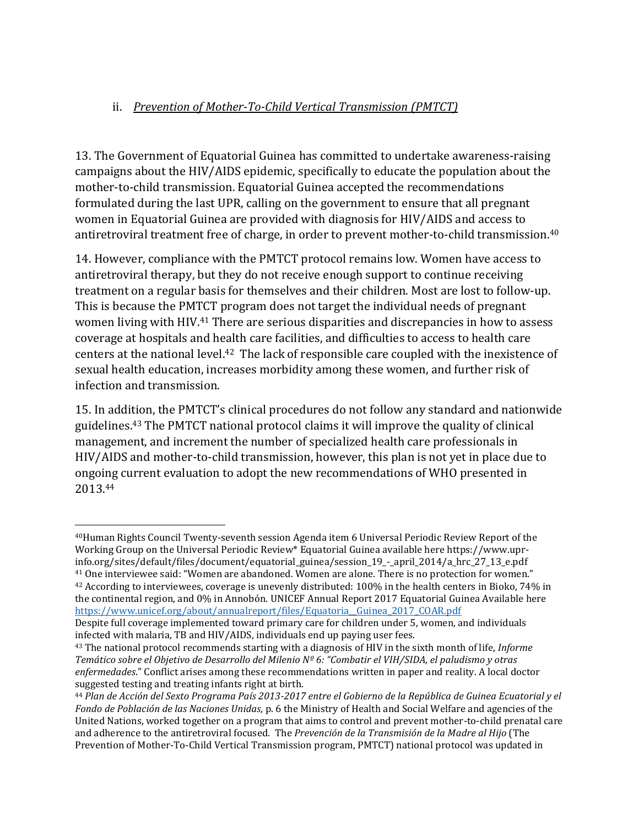### ii. *Prevention of Mother-To-Child Vertical Transmission (PMTCT)*

13. The Government of Equatorial Guinea has committed to undertake awareness-raising campaigns about the HIV/AIDS epidemic, specifically to educate the population about the mother-to-child transmission. Equatorial Guinea accepted the recommendations formulated during the last UPR, calling on the government to ensure that all pregnant women in Equatorial Guinea are provided with diagnosis for HIV/AIDS and access to antiretroviral treatment free of charge, in order to prevent mother-to-child transmission.<sup>40</sup>

14. However, compliance with the PMTCT protocol remains low. Women have access to antiretroviral therapy, but they do not receive enough support to continue receiving treatment on a regular basis for themselves and their children. Most are lost to follow-up. This is because the PMTCT program does not target the individual needs of pregnant women living with HIV.<sup>41</sup> There are serious disparities and discrepancies in how to assess coverage at hospitals and health care facilities, and difficulties to access to health care centers at the national level.42 The lack of responsible care coupled with the inexistence of sexual health education, increases morbidity among these women, and further risk of infection and transmission.

15. In addition, the PMTCT's clinical procedures do not follow any standard and nationwide guidelines. <sup>43</sup> The PMTCT national protocol claims it will improve the quality of clinical management, and increment the number of specialized health care professionals in HIV/AIDS and mother-to-child transmission, however, this plan is not yet in place due to ongoing current evaluation to adopt the new recommendations of WHO presented in 2013. 44

<sup>40</sup>Human Rights Council Twenty-seventh session Agenda item 6 Universal Periodic Review Report of the Working Group on the Universal Periodic Review\* Equatorial Guinea available here https://www.uprinfo.org/sites/default/files/document/equatorial\_guinea/session\_19\_-\_april\_2014/a\_hrc\_27\_13\_e.pdf

<sup>&</sup>lt;sup>41</sup> One interviewee said: "Women are abandoned. Women are alone. There is no protection for women."  $42$  According to interviewees, coverage is unevenly distributed: 100% in the health centers in Bioko, 74% in the continental region, and 0% in Annobón. UNICEF Annual Report 2017 Equatorial Guinea Available here https://www.unicef.org/about/annualreport/files/Equatoria\_Guinea\_2017\_COAR.pdf

Despite full coverage implemented toward primary care for children under 5, women, and individuals infected with malaria, TB and HIV/AIDS, individuals end up paying user fees.

<sup>43</sup> The national protocol recommends starting with a diagnosis of HIV in the sixth month of life, *Informe Temático sobre el Objetivo de Desarrollo del Milenio Nº 6: "Combatir el VIH/SIDA, el paludismo y otras enfermedades*." Conflict arises among these recommendations written in paper and reality. A local doctor suggested testing and treating infants right at birth.

<sup>44</sup> *Plan de Acción del Sexto Programa País 2013-2017 entre el Gobierno de la República de Guinea Ecuatorial y el Fondo de Población de las Naciones Unidas*, p. 6 the Ministry of Health and Social Welfare and agencies of the United Nations, worked together on a program that aims to control and prevent mother-to-child prenatal care and adherence to the antiretroviral focused. The *Prevención de la Transmisión de la Madre al Hijo* (The Prevention of Mother-To-Child Vertical Transmission program, PMTCT) national protocol was updated in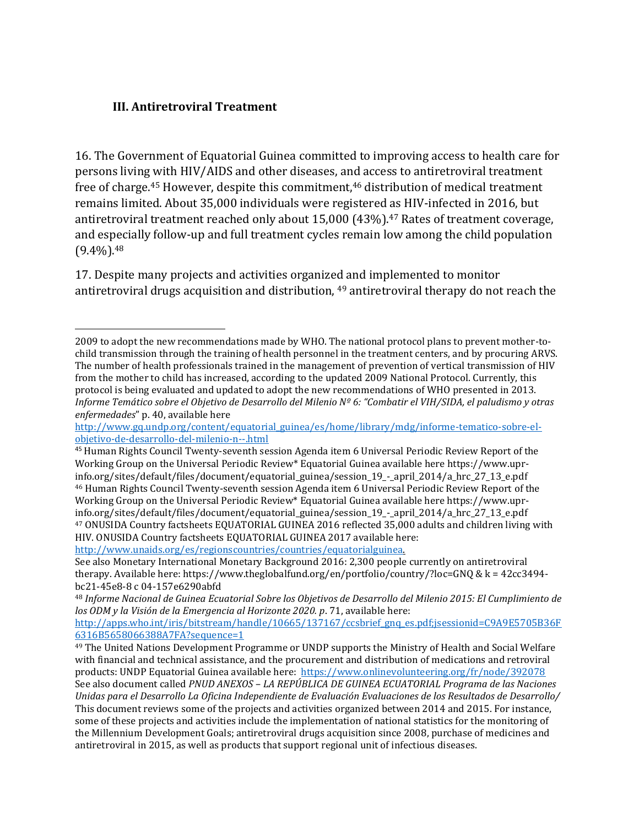#### **III. Antiretroviral Treatment**

16. The Government of Equatorial Guinea committed to improving access to health care for persons living with HIV/AIDS and other diseases, and access to antiretroviral treatment free of charge. <sup>45</sup> However, despite this commitment, <sup>46</sup> distribution of medical treatment remains limited. About 35,000 individuals were registered as HIV-infected in 2016, but antiretroviral treatment reached only about 15,000 (43%).<sup>47</sup> Rates of treatment coverage, and especially follow-up and full treatment cycles remain low among the child population  $(9.4\%)$ <sup>.48</sup>

17. Despite many projects and activities organized and implemented to monitor antiretroviral drugs acquisition and distribution, <sup>49</sup> antiretroviral therapy do not reach the

[http://www.unaids.org/es/regionscountries/countries/equatorialguinea.](http://www.unaids.org/es/regionscountries/countries/equatorialguinea)

 $\overline{a}$ 2009 to adopt the new recommendations made by WHO. The national protocol plans to prevent mother-tochild transmission through the training of health personnel in the treatment centers, and by procuring ARVS. The number of health professionals trained in the management of prevention of vertical transmission of HIV from the mother to child has increased, according to the updated 2009 National Protocol. Currently, this protocol is being evaluated and updated to adopt the new recommendations of WHO presented in 2013. *Informe Temático sobre el Objetivo de Desarrollo del Milenio Nº 6: "Combatir el VIH/SIDA, el paludismo y otras enfermedades*" p. 40, available here

[http://www.gq.undp.org/content/equatorial\\_guinea/es/home/library/mdg/informe-tematico-sobre-el](http://www.gq.undp.org/content/equatorial_guinea/es/home/library/mdg/informe-tematico-sobre-el-objetivo-de-desarrollo-del-milenio-n--.html)[objetivo-de-desarrollo-del-milenio-n--.html](http://www.gq.undp.org/content/equatorial_guinea/es/home/library/mdg/informe-tematico-sobre-el-objetivo-de-desarrollo-del-milenio-n--.html)

<sup>45</sup> Human Rights Council Twenty-seventh session Agenda item 6 Universal Periodic Review Report of the Working Group on the Universal Periodic Review\* Equatorial Guinea available here https://www.uprinfo.org/sites/default/files/document/equatorial\_guinea/session\_19\_-\_april\_2014/a\_hrc\_27\_13\_e.pdf <sup>46</sup> Human Rights Council Twenty-seventh session Agenda item 6 Universal Periodic Review Report of the Working Group on the Universal Periodic Review\* Equatorial Guinea available here https://www.uprinfo.org/sites/default/files/document/equatorial\_guinea/session\_19\_-\_april\_2014/a\_hrc\_27\_13\_e.pdf <sup>47</sup> ONUSIDA Country factsheets EQUATORIAL GUINEA 2016 reflected 35,000 adults and children living with HIV. ONUSIDA Country factsheets EQUATORIAL GUINEA 2017 available here:

See also Monetary International Monetary Background 2016: 2,300 people currently on antiretroviral therapy. Available here: https://www.theglobalfund.org/en/portfolio/country/?loc=GNQ & k = 42cc3494 bc21-45e8-8 c 04-157e6290abfd

<sup>48</sup> *Informe Nacional de Guinea Ecuatorial Sobre los Objetivos de Desarrollo del Milenio 2015: El Cumplimiento de los ODM y la Visión de la Emergencia al Horizonte 2020. p*. 71, available here:

[http://apps.who.int/iris/bitstream/handle/10665/137167/ccsbrief\\_gnq\\_es.pdf;jsessionid=C9A9E5705B36F](http://apps.who.int/iris/bitstream/handle/10665/137167/ccsbrief_gnq_es.pdf;jsessionid=C9A9E5705B36F6316B5658066388A7FA?sequence=1) [6316B5658066388A7FA?sequence=1](http://apps.who.int/iris/bitstream/handle/10665/137167/ccsbrief_gnq_es.pdf;jsessionid=C9A9E5705B36F6316B5658066388A7FA?sequence=1)

<sup>49</sup> The United Nations Development Programme or UNDP supports the Ministry of Health and Social Welfare with financial and technical assistance, and the procurement and distribution of medications and retroviral products: UNDP Equatorial Guinea available here:<https://www.onlinevolunteering.org/fr/node/392078> See also document called *PNUD ANEXOS – LA REPÚBLICA DE GUINEA ECUATORIAL Programa de las Naciones Unidas para el Desarrollo La Oficina Independiente de Evaluación Evaluaciones de los Resultados de Desarrollo/*  This document reviews some of the projects and activities organized between 2014 and 2015. For instance, some of these projects and activities include the implementation of national statistics for the monitoring of the Millennium Development Goals; antiretroviral drugs acquisition since 2008, purchase of medicines and antiretroviral in 2015, as well as products that support regional unit of infectious diseases.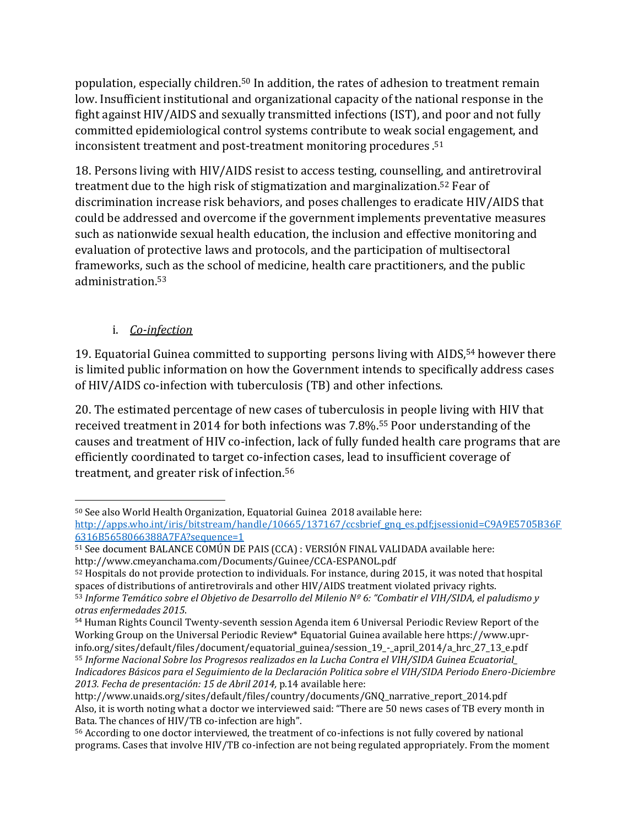population, especially children.<sup>50</sup> In addition, the rates of adhesion to treatment remain low. Insufficient institutional and organizational capacity of the national response in the fight against HIV/AIDS and sexually transmitted infections (IST), and poor and not fully committed epidemiological control systems contribute to weak social engagement, and inconsistent treatment and post-treatment monitoring procedures . 51

18. Persons living with HIV/AIDS resist to access testing, counselling, and antiretroviral treatment due to the high risk of stigmatization and marginalization.<sup>52</sup> Fear of discrimination increase risk behaviors, and poses challenges to eradicate HIV/AIDS that could be addressed and overcome if the government implements preventative measures such as nationwide sexual health education, the inclusion and effective monitoring and evaluation of protective laws and protocols, and the participation of multisectoral frameworks, such as the school of medicine, health care practitioners, and the public administration. 53

## i. *Co-infection*

 $\overline{\phantom{a}}$ 

19. Equatorial Guinea committed to supporting persons living with AIDS,<sup>54</sup> however there is limited public information on how the Government intends to specifically address cases of HIV/AIDS co-infection with tuberculosis (TB) and other infections.

20. The estimated percentage of new cases of tuberculosis in people living with HIV that received treatment in 2014 for both infections was 7.8%.<sup>55</sup> Poor understanding of the causes and treatment of HIV co-infection, lack of fully funded health care programs that are efficiently coordinated to target co-infection cases, lead to insufficient coverage of treatment, and greater risk of infection.<sup>56</sup>

<sup>50</sup> See also World Health Organization, Equatorial Guinea 2018 available here: [http://apps.who.int/iris/bitstream/handle/10665/137167/ccsbrief\\_gnq\\_es.pdf;jsessionid=C9A9E5705B36F](http://apps.who.int/iris/bitstream/handle/10665/137167/ccsbrief_gnq_es.pdf;jsessionid=C9A9E5705B36F6316B5658066388A7FA?sequence=1) [6316B5658066388A7FA?sequence=1](http://apps.who.int/iris/bitstream/handle/10665/137167/ccsbrief_gnq_es.pdf;jsessionid=C9A9E5705B36F6316B5658066388A7FA?sequence=1)

<sup>51</sup> See document BALANCE COMÚN DE PAIS (CCA) : VERSIÓN FINAL VALIDADA available here: http://www.cmeyanchama.com/Documents/Guinee/CCA-ESPANOL.pdf

<sup>52</sup> Hospitals do not provide protection to individuals. For instance, during 2015, it was noted that hospital spaces of distributions of antiretrovirals and other HIV/AIDS treatment violated privacy rights. <sup>53</sup> *Informe Temático sobre el Objetivo de Desarrollo del Milenio Nº 6: "Combatir el VIH/SIDA, el paludismo y otras enfermedades 2015*.

<sup>&</sup>lt;sup>54</sup> Human Rights Council Twenty-seventh session Agenda item 6 Universal Periodic Review Report of the Working Group on the Universal Periodic Review\* Equatorial Guinea available here https://www.uprinfo.org/sites/default/files/document/equatorial\_guinea/session\_19\_-\_april\_2014/a\_hrc\_27\_13\_e.pdf <sup>55</sup> *Informe Nacional Sobre los Progresos realizados en la Lucha Contra el VIH/SIDA Guinea Ecuatorial\_ Indicadores Básicos para el Seguimiento de la Declaración Politica sobre el VIH/SIDA Periodo Enero-Diciembre 2013. Fecha de presentación: 15 de Abril 2014,* p.14 available here:

http://www.unaids.org/sites/default/files/country/documents/GNQ\_narrative\_report\_2014.pdf Also, it is worth noting what a doctor we interviewed said: "There are 50 news cases of TB every month in Bata. The chances of HIV/TB co-infection are high".

<sup>56</sup> According to one doctor interviewed, the treatment of co-infections is not fully covered by national programs. Cases that involve HIV/TB co-infection are not being regulated appropriately. From the moment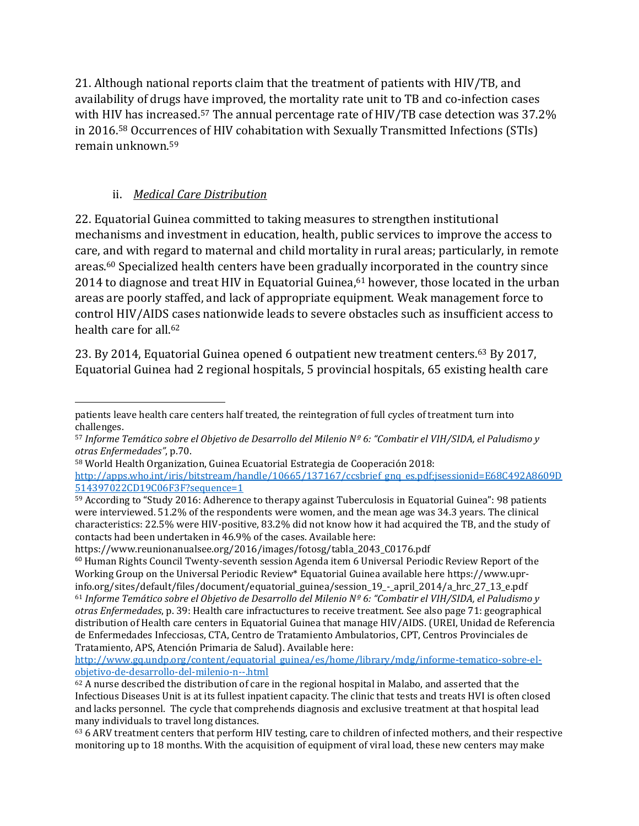21. Although national reports claim that the treatment of patients with HIV/TB, and availability of drugs have improved, the mortality rate unit to TB and co-infection cases with HIV has increased.<sup>57</sup> The annual percentage rate of HIV/TB case detection was 37.2% in 2016.<sup>58</sup> Occurrences of HIV cohabitation with Sexually Transmitted Infections (STIs) remain unknown.<sup>59</sup>

## ii. *Medical Care Distribution*

22. Equatorial Guinea committed to taking measures to strengthen institutional mechanisms and investment in education, health, public services to improve the access to care, and with regard to maternal and child mortality in rural areas; particularly, in remote areas. <sup>60</sup> Specialized health centers have been gradually incorporated in the country since 2014 to diagnose and treat HIV in Equatorial Guinea, <sup>61</sup> however, those located in the urban areas are poorly staffed, and lack of appropriate equipment. Weak management force to control HIV/AIDS cases nationwide leads to severe obstacles such as insufficient access to health care for all.<sup>62</sup>

23. By 2014, Equatorial Guinea opened 6 outpatient new treatment centers. <sup>63</sup> By 2017, Equatorial Guinea had 2 regional hospitals, 5 provincial hospitals, 65 existing health care

 $\overline{\phantom{a}}$ patients leave health care centers half treated, the reintegration of full cycles of treatment turn into challenges.

<sup>57</sup> *Informe Temático sobre el Objetivo de Desarrollo del Milenio Nº 6: "Combatir el VIH/SIDA, el Paludismo y otras Enfermedades"*, p.70.

<sup>58</sup> World Health Organization, Guinea Ecuatorial Estrategia de Cooperación 2018:

[http://apps.who.int/iris/bitstream/handle/10665/137167/ccsbrief\\_gnq\\_es.pdf;jsessionid=E68C492A8609D](http://apps.who.int/iris/bitstream/handle/10665/137167/ccsbrief_gnq_es.pdf;jsessionid=E68C492A8609D514397022CD19C06F3F?sequence=1) [514397022CD19C06F3F?sequence=1](http://apps.who.int/iris/bitstream/handle/10665/137167/ccsbrief_gnq_es.pdf;jsessionid=E68C492A8609D514397022CD19C06F3F?sequence=1)

<sup>59</sup> According to "Study 2016: Adherence to therapy against Tuberculosis in Equatorial Guinea": 98 patients were interviewed. 51.2% of the respondents were women, and the mean age was 34.3 years. The clinical characteristics: 22.5% were HIV-positive, 83.2% did not know how it had acquired the TB, and the study of contacts had been undertaken in 46.9% of the cases. Available here:

https://www.reunionanualsee.org/2016/images/fotosg/tabla\_2043\_C0176.pdf

 $60$  Human Rights Council Twenty-seventh session Agenda item 6 Universal Periodic Review Report of the Working Group on the Universal Periodic Review\* Equatorial Guinea available here https://www.uprinfo.org/sites/default/files/document/equatorial\_guinea/session\_19\_-\_april\_2014/a\_hrc\_27\_13\_e.pdf <sup>61</sup> *Informe Temático sobre el Objetivo de Desarrollo del Milenio Nº 6: "Combatir el VIH/SIDA, el Paludismo y otras Enfermedades*, p. 39: Health care infractuctures to receive treatment. See also page 71: geographical distribution of Health care centers in Equatorial Guinea that manage HIV/AIDS. (UREI, Unidad de Referencia de Enfermedades Infecciosas, CTA, Centro de Tratamiento Ambulatorios, CPT, Centros Provinciales de Tratamiento, APS, Atención Primaria de Salud). Available here:

[http://www.gq.undp.org/content/equatorial\\_guinea/es/home/library/mdg/informe-tematico-sobre-el](http://www.gq.undp.org/content/equatorial_guinea/es/home/library/mdg/informe-tematico-sobre-el-objetivo-de-desarrollo-del-milenio-n--.html)[objetivo-de-desarrollo-del-milenio-n--.html](http://www.gq.undp.org/content/equatorial_guinea/es/home/library/mdg/informe-tematico-sobre-el-objetivo-de-desarrollo-del-milenio-n--.html)

<sup>62</sup> A nurse described the distribution of care in the regional hospital in Malabo, and asserted that the Infectious Diseases Unit is at its fullest inpatient capacity. The clinic that tests and treats HVI is often closed and lacks personnel. The cycle that comprehends diagnosis and exclusive treatment at that hospital lead many individuals to travel long distances.

<sup>63</sup> 6 ARV treatment centers that perform HIV testing, care to children of infected mothers, and their respective monitoring up to 18 months. With the acquisition of equipment of viral load, these new centers may make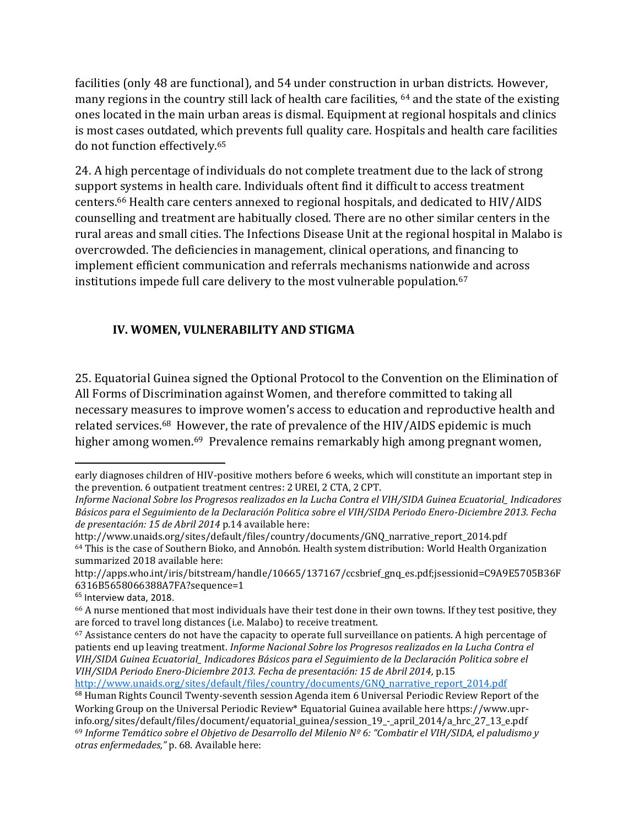facilities (only 48 are functional), and 54 under construction in urban districts. However, many regions in the country still lack of health care facilities, <sup>64</sup> and the state of the existing ones located in the main urban areas is dismal. Equipment at regional hospitals and clinics is most cases outdated, which prevents full quality care. Hospitals and health care facilities do not function effectively. 65

24. A high percentage of individuals do not complete treatment due to the lack of strong support systems in health care. Individuals oftent find it difficult to access treatment centers.<sup>66</sup> Health care centers annexed to regional hospitals, and dedicated to HIV/AIDS counselling and treatment are habitually closed. There are no other similar centers in the rural areas and small cities. The Infections Disease Unit at the regional hospital in Malabo is overcrowded. The deficiencies in management, clinical operations, and financing to implement efficient communication and referrals mechanisms nationwide and across institutions impede full care delivery to the most vulnerable population.<sup>67</sup>

## **IV. WOMEN, VULNERABILITY AND STIGMA**

25. Equatorial Guinea signed the Optional Protocol to the Convention on the Elimination of All Forms of Discrimination against Women, and therefore committed to taking all necessary measures to improve women's access to education and reproductive health and related services.<sup>68</sup> However, the rate of prevalence of the HIV/AIDS epidemic is much higher among women.<sup>69</sup> Prevalence remains remarkably high among pregnant women,

 $\overline{\phantom{a}}$ early diagnoses children of HIV-positive mothers before 6 weeks, which will constitute an important step in the prevention. 6 outpatient treatment centres: 2 UREI, 2 CTA, 2 CPT.

*Informe Nacional Sobre los Progresos realizados en la Lucha Contra el VIH/SIDA Guinea Ecuatorial\_ Indicadores Básicos para el Seguimiento de la Declaración Politica sobre el VIH/SIDA Periodo Enero-Diciembre 2013. Fecha de presentación: 15 de Abril 2014* p.14 available here:

http://www.unaids.org/sites/default/files/country/documents/GNQ\_narrative\_report\_2014.pdf <sup>64</sup> This is the case of Southern Bioko, and Annobón. Health system distribution: World Health Organization summarized 2018 available here:

http://apps.who.int/iris/bitstream/handle/10665/137167/ccsbrief\_gnq\_es.pdf;jsessionid=C9A9E5705B36F 6316B5658066388A7FA?sequence=1

<sup>&</sup>lt;sup>65</sup> Interview data, 2018.

<sup>66</sup> A nurse mentioned that most individuals have their test done in their own towns. If they test positive, they are forced to travel long distances (i.e. Malabo) to receive treatment.

<sup>67</sup> Assistance centers do not have the capacity to operate full surveillance on patients. A high percentage of patients end up leaving treatment. *Informe Nacional Sobre los Progresos realizados en la Lucha Contra el VIH/SIDA Guinea Ecuatorial\_ Indicadores Básicos para el Seguimiento de la Declaración Politica sobre el VIH/SIDA Periodo Enero-Diciembre 2013. Fecha de presentación: 15 de Abril 2014,* p.15

http://www.unaids.org/sites/default/files/country/documents/GNO\_narrative\_report\_2014.pdf <sup>68</sup> Human Rights Council Twenty-seventh session Agenda item 6 Universal Periodic Review Report of the

Working Group on the Universal Periodic Review\* Equatorial Guinea available here https://www.uprinfo.org/sites/default/files/document/equatorial\_guinea/session\_19\_-\_april\_2014/a\_hrc\_27\_13\_e.pdf <sup>69</sup> *Informe Temático sobre el Objetivo de Desarrollo del Milenio Nº 6: "Combatir el VIH/SIDA, el paludismo y otras enfermedades,"* p. 68. Available here: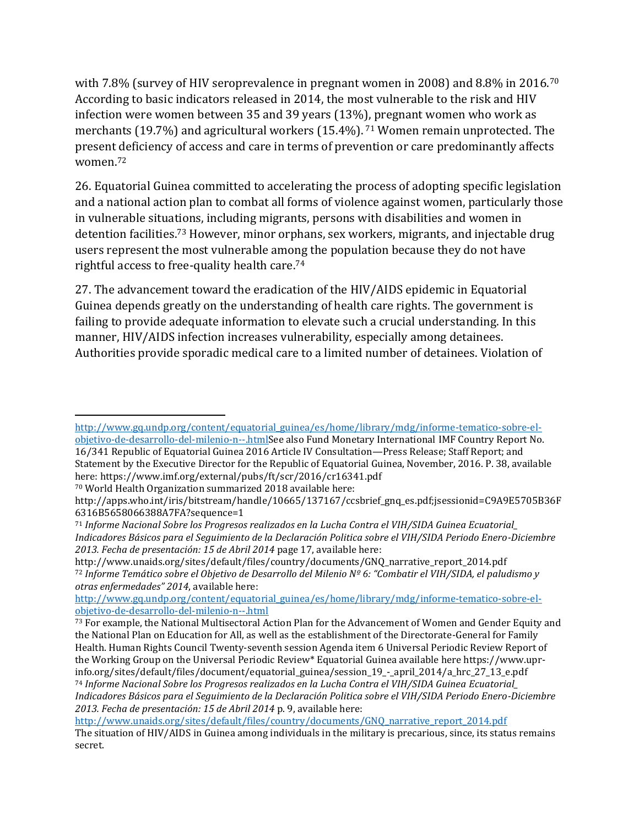with 7.8% (survey of HIV seroprevalence in pregnant women in 2008) and 8.8% in 2016.<sup>70</sup> According to basic indicators released in 2014, the most vulnerable to the risk and HIV infection were women between 35 and 39 years (13%), pregnant women who work as merchants (19.7%) and agricultural workers (15.4%). <sup>71</sup> Women remain unprotected. The present deficiency of access and care in terms of prevention or care predominantly affects women. 72

26. Equatorial Guinea committed to accelerating the process of adopting specific legislation and a national action plan to combat all forms of violence against women, particularly those in vulnerable situations, including migrants, persons with disabilities and women in detention facilities.<sup>73</sup> However, minor orphans, sex workers, migrants, and injectable drug users represent the most vulnerable among the population because they do not have rightful access to free-quality health care. 74

27. The advancement toward the eradication of the HIV/AIDS epidemic in Equatorial Guinea depends greatly on the understanding of health care rights. The government is failing to provide adequate information to elevate such a crucial understanding. In this manner, HIV/AIDS infection increases vulnerability, especially among detainees. Authorities provide sporadic medical care to a limited number of detainees. Violation of

l

http://www.unaids.org/sites/default/files/country/documents/GNQ\_narrative\_report\_2014.pdf <sup>72</sup> *Informe Temático sobre el Objetivo de Desarrollo del Milenio Nº 6: "Combatir el VIH/SIDA, el paludismo y otras enfermedades" 2014*, available here:

[http://www.gq.undp.org/content/equatorial\\_guinea/es/home/library/mdg/informe-tematico-sobre-el](http://www.gq.undp.org/content/equatorial_guinea/es/home/library/mdg/informe-tematico-sobre-el-objetivo-de-desarrollo-del-milenio-n--.html)[objetivo-de-desarrollo-del-milenio-n--.htmlS](http://www.gq.undp.org/content/equatorial_guinea/es/home/library/mdg/informe-tematico-sobre-el-objetivo-de-desarrollo-del-milenio-n--.html)ee also Fund Monetary International IMF Country Report No. 16/341 Republic of Equatorial Guinea 2016 Article IV Consultation—Press Release; Staff Report; and Statement by the Executive Director for the Republic of Equatorial Guinea, November, 2016. P. 38, available here: https://www.imf.org/external/pubs/ft/scr/2016/cr16341.pdf

<sup>70</sup> World Health Organization summarized 2018 available here:

http://apps.who.int/iris/bitstream/handle/10665/137167/ccsbrief\_gnq\_es.pdf;jsessionid=C9A9E5705B36F 6316B5658066388A7FA?sequence=1

<sup>71</sup> *Informe Nacional Sobre los Progresos realizados en la Lucha Contra el VIH/SIDA Guinea Ecuatorial\_ Indicadores Básicos para el Seguimiento de la Declaración Politica sobre el VIH/SIDA Periodo Enero-Diciembre 2013. Fecha de presentación: 15 de Abril 2014* page 17, available here:

[http://www.gq.undp.org/content/equatorial\\_guinea/es/home/library/mdg/informe-tematico-sobre-el](http://www.gq.undp.org/content/equatorial_guinea/es/home/library/mdg/informe-tematico-sobre-el-objetivo-de-desarrollo-del-milenio-n--.html)[objetivo-de-desarrollo-del-milenio-n--.html](http://www.gq.undp.org/content/equatorial_guinea/es/home/library/mdg/informe-tematico-sobre-el-objetivo-de-desarrollo-del-milenio-n--.html)

<sup>&</sup>lt;sup>73</sup> For example, the National Multisectoral Action Plan for the Advancement of Women and Gender Equity and the National Plan on Education for All, as well as the establishment of the Directorate-General for Family Health. Human Rights Council Twenty-seventh session Agenda item 6 Universal Periodic Review Report of the Working Group on the Universal Periodic Review\* Equatorial Guinea available here https://www.uprinfo.org/sites/default/files/document/equatorial\_guinea/session\_19\_-\_april\_2014/a\_hrc\_27\_13\_e.pdf <sup>74</sup> *Informe Nacional Sobre los Progresos realizados en la Lucha Contra el VIH/SIDA Guinea Ecuatorial\_ Indicadores Básicos para el Seguimiento de la Declaración Politica sobre el VIH/SIDA Periodo Enero-Diciembre 2013. Fecha de presentación: 15 de Abril 2014* p. 9, available here:

[http://www.unaids.org/sites/default/files/country/documents/GNQ\\_narrative\\_report\\_2014.pdf](http://www.unaids.org/sites/default/files/country/documents/GNQ_narrative_report_2014.pdf)

The situation of HIV/AIDS in Guinea among individuals in the military is precarious, since, its status remains secret.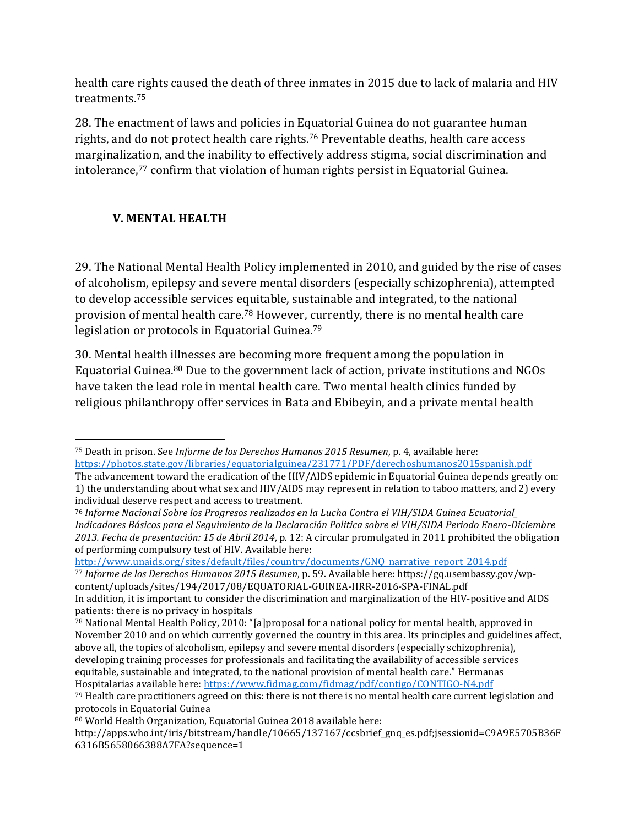health care rights caused the death of three inmates in 2015 due to lack of malaria and HIV treatments.<sup>75</sup>

28. The enactment of laws and policies in Equatorial Guinea do not guarantee human rights, and do not protect health care rights.<sup>76</sup> Preventable deaths, health care access marginalization, and the inability to effectively address stigma, social discrimination and intolerance, <sup>77</sup> confirm that violation of human rights persist in Equatorial Guinea.

### **V. MENTAL HEALTH**

29. The National Mental Health Policy implemented in 2010, and guided by the rise of cases of alcoholism, epilepsy and severe mental disorders (especially schizophrenia), attempted to develop accessible services equitable, sustainable and integrated, to the national provision of mental health care.<sup>78</sup> However, currently, there is no mental health care legislation or protocols in Equatorial Guinea.<sup>79</sup>

30. Mental health illnesses are becoming more frequent among the population in Equatorial Guinea. <sup>80</sup> Due to the government lack of action, private institutions and NGOs have taken the lead role in mental health care. Two mental health clinics funded by religious philanthropy offer services in Bata and Ebibeyin, and a private mental health

[http://www.unaids.org/sites/default/files/country/documents/GNQ\\_narrative\\_report\\_2014.pdf](http://www.unaids.org/sites/default/files/country/documents/GNQ_narrative_report_2014.pdf)

<sup>77</sup> *Informe de los Derechos Humanos 2015 Resumen*, p. 59. Available here: https://gq.usembassy.gov/wpcontent/uploads/sites/194/2017/08/EQUATORIAL-GUINEA-HRR-2016-SPA-FINAL.pdf In addition, it is important to consider the discrimination and marginalization of the HIV-positive and AIDS patients: there is no privacy in hospitals

 $\overline{a}$ <sup>75</sup> Death in prison. See *Informe de los Derechos Humanos 2015 Resumen*, p. 4, available here: <https://photos.state.gov/libraries/equatorialguinea/231771/PDF/derechoshumanos2015spanish.pdf> The advancement toward the eradication of the HIV/AIDS epidemic in Equatorial Guinea depends greatly on:

<sup>1)</sup> the understanding about what sex and HIV/AIDS may represent in relation to taboo matters, and 2) every individual deserve respect and access to treatment.

<sup>76</sup> *Informe Nacional Sobre los Progresos realizados en la Lucha Contra el VIH/SIDA Guinea Ecuatorial\_ Indicadores Básicos para el Seguimiento de la Declaración Politica sobre el VIH/SIDA Periodo Enero-Diciembre 2013. Fecha de presentación: 15 de Abril 2014*, p. 12: A circular promulgated in 2011 prohibited the obligation of performing compulsory test of HIV. Available here:

<sup>78</sup> National Mental Health Policy, 2010: "[a]proposal for a national policy for mental health, approved in November 2010 and on which currently governed the country in this area. Its principles and guidelines affect, above all, the topics of alcoholism, epilepsy and severe mental disorders (especially schizophrenia), developing training processes for professionals and facilitating the availability of accessible services equitable, sustainable and integrated, to the national provision of mental health care." Hermanas Hospitalarias available here[: https://www.fidmag.com/fidmag/pdf/contigo/CONTIGO-N4.pdf](https://www.fidmag.com/fidmag/pdf/contigo/CONTIGO-N4.pdf)

<sup>79</sup> Health care practitioners agreed on this: there is not there is no mental health care current legislation and protocols in Equatorial Guinea

<sup>80</sup> World Health Organization, Equatorial Guinea 2018 available here:

http://apps.who.int/iris/bitstream/handle/10665/137167/ccsbrief\_gnq\_es.pdf;jsessionid=C9A9E5705B36F 6316B5658066388A7FA?sequence=1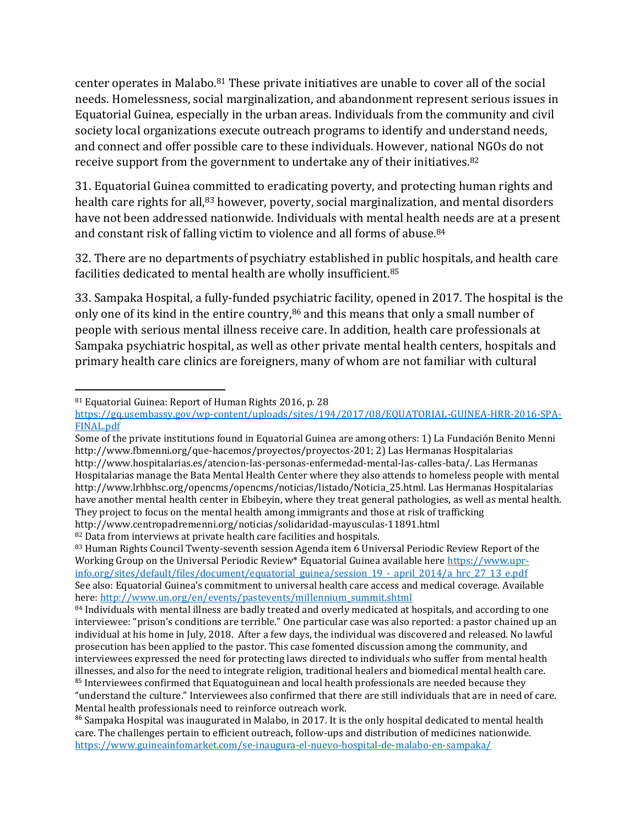center operates in Malabo.<sup>81</sup> These private initiatives are unable to cover all of the social needs. Homelessness, social marginalization, and abandonment represent serious issues in Equatorial Guinea, especially in the urban areas. Individuals from the community and civil society local organizations execute outreach programs to identify and understand needs, and connect and offer possible care to these individuals. However, national NGOs do not receive support from the government to undertake any of their initiatives.<sup>82</sup>

31. Equatorial Guinea committed to eradicating poverty, and protecting human rights and health care rights for all,<sup>83</sup> however, poverty, social marginalization, and mental disorders have not been addressed nationwide. Individuals with mental health needs are at a present and constant risk of falling victim to violence and all forms of abuse.<sup>84</sup>

32. There are no departments of psychiatry established in public hospitals, and health care facilities dedicated to mental health are wholly insufficient.<sup>85</sup>

33. Sampaka Hospital, a fully-funded psychiatric facility, opened in 2017. The hospital is the only one of its kind in the entire country, <sup>86</sup> and this means that only a small number of people with serious mental illness receive care. In addition, health care professionals at Sampaka psychiatric hospital, as well as other private mental health centers, hospitals and primary health care clinics are foreigners, many of whom are not familiar with cultural

l <sup>81</sup> Equatorial Guinea: Report of Human Rights 2016, p. 28

[https://gq.usembassy.gov/wp-content/uploads/sites/194/2017/08/EQUATORIAL-GUINEA-HRR-2016-SPA-](https://gq.usembassy.gov/wp-content/uploads/sites/194/2017/08/EQUATORIAL-GUINEA-HRR-2016-SPA-FINAL.pdf)[FINAL.pdf](https://gq.usembassy.gov/wp-content/uploads/sites/194/2017/08/EQUATORIAL-GUINEA-HRR-2016-SPA-FINAL.pdf)

Some of the private institutions found in Equatorial Guinea are among others: 1) La Fundación Benito Menni http://www.fbmenni.org/que-hacemos/proyectos/proyectos-201; 2) Las Hermanas Hospitalarias http://www.hospitalarias.es/atencion-las-personas-enfermedad-mental-las-calles-bata/. Las Hermanas Hospitalarias manage the Bata Mental Health Center where they also attends to homeless people with mental http://www.lrhbhsc.org/opencms/opencms/noticias/listado/Noticia\_25.html. Las Hermanas Hospitalarias have another mental health center in Ebibeyin, where they treat general pathologies, as well as mental health. They project to focus on the mental health among immigrants and those at risk of trafficking http://www.centropadremenni.org/noticias/solidaridad-mayusculas-11891.html

<sup>82</sup> Data from interviews at private health care facilities and hospitals.

<sup>83</sup> Human Rights Council Twenty-seventh session Agenda item 6 Universal Periodic Review Report of the Working Group on the Universal Periodic Review\* Equatorial Guinea available here [https://www.upr](https://www.upr-info.org/sites/default/files/document/equatorial_guinea/session_19_-_april_2014/a_hrc_27_13_e.pdf)[info.org/sites/default/files/document/equatorial\\_guinea/session\\_19\\_-\\_april\\_2014/a\\_hrc\\_27\\_13\\_e.pdf](https://www.upr-info.org/sites/default/files/document/equatorial_guinea/session_19_-_april_2014/a_hrc_27_13_e.pdf) See also: Equatorial Guinea's commitment to universal health care access and medical coverage. Available here: [http://www.un.org/en/events/pastevents/millennium\\_summit.shtml](http://www.un.org/en/events/pastevents/millennium_summit.shtml)

<sup>&</sup>lt;sup>84</sup> Individuals with mental illness are badly treated and overly medicated at hospitals, and according to one interviewee: "prison's conditions are terrible." One particular case was also reported: a pastor chained up an individual at his home in July, 2018. After a few days, the individual was discovered and released. No lawful prosecution has been applied to the pastor. This case fomented discussion among the community, and interviewees expressed the need for protecting laws directed to individuals who suffer from mental health illnesses, and also for the need to integrate religion, traditional healers and biomedical mental health care. <sup>85</sup> Interviewees confirmed that Equatoguinean and local health professionals are needed because they "understand the culture." Interviewees also confirmed that there are still individuals that are in need of care.

Mental health professionals need to reinforce outreach work.

<sup>86</sup> Sampaka Hospital was inaugurated in Malabo, in 2017. It is the only hospital dedicated to mental health care. The challenges pertain to efficient outreach, follow-ups and distribution of medicines nationwide. <https://www.guineainfomarket.com/se-inaugura-el-nuevo-hospital-de-malabo-en-sampaka/>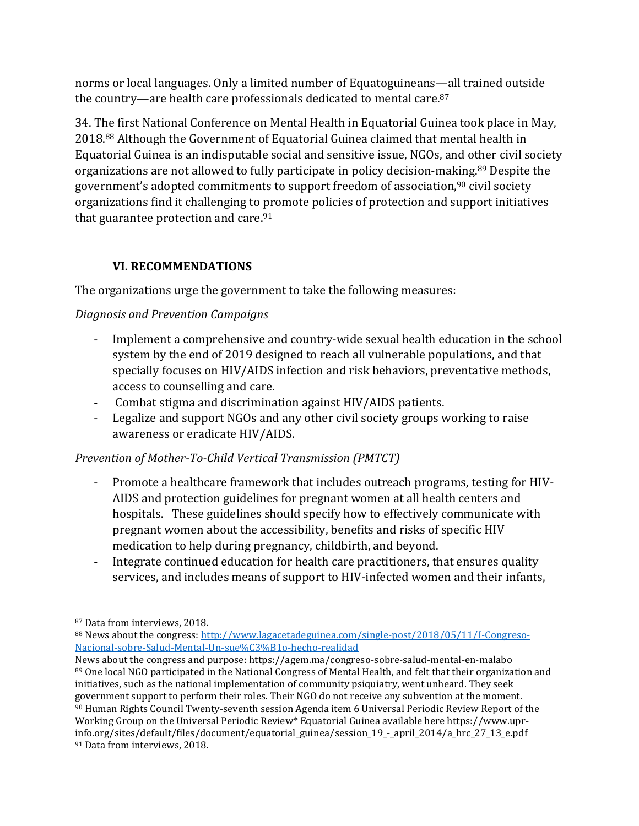norms or local languages. Only a limited number of Equatoguineans—all trained outside the country—are health care professionals dedicated to mental care.<sup>87</sup>

34. The first National Conference on Mental Health in Equatorial Guinea took place in May, 2018.<sup>88</sup> Although the Government of Equatorial Guinea claimed that mental health in Equatorial Guinea is an indisputable social and sensitive issue, NGOs, and other civil society organizations are not allowed to fully participate in policy decision-making.<sup>89</sup> Despite the government's adopted commitments to support freedom of association,<sup>90</sup> civil society organizations find it challenging to promote policies of protection and support initiatives that guarantee protection and care. 91

## **VI. RECOMMENDATIONS**

The organizations urge the government to take the following measures:

## *Diagnosis and Prevention Campaigns*

- Implement a comprehensive and country-wide sexual health education in the school system by the end of 2019 designed to reach all vulnerable populations, and that specially focuses on HIV/AIDS infection and risk behaviors, preventative methods, access to counselling and care.
- Combat stigma and discrimination against HIV/AIDS patients.
- Legalize and support NGOs and any other civil society groups working to raise awareness or eradicate HIV/AIDS.

## *Prevention of Mother-To-Child Vertical Transmission (PMTCT)*

- Promote a healthcare framework that includes outreach programs, testing for HIV-AIDS and protection guidelines for pregnant women at all health centers and hospitals. These guidelines should specify how to effectively communicate with pregnant women about the accessibility, benefits and risks of specific HIV medication to help during pregnancy, childbirth, and beyond.
- Integrate continued education for health care practitioners, that ensures quality services, and includes means of support to HIV-infected women and their infants,

<sup>87</sup> Data from interviews, 2018.

<sup>88</sup> News about the congress: [http://www.lagacetadeguinea.com/single-post/2018/05/11/I-Congreso-](http://www.lagacetadeguinea.com/single-post/2018/05/11/I-Congreso-Nacional-sobre-Salud-Mental-Un-sue%C3%B1o-hecho-realidad)[Nacional-sobre-Salud-Mental-Un-sue%C3%B1o-hecho-realidad](http://www.lagacetadeguinea.com/single-post/2018/05/11/I-Congreso-Nacional-sobre-Salud-Mental-Un-sue%C3%B1o-hecho-realidad)

News about the congress and purpose: https://agem.ma/congreso-sobre-salud-mental-en-malabo 89 One local NGO participated in the National Congress of Mental Health, and felt that their organization and initiatives, such as the national implementation of community psiquiatry, went unheard. They seek government support to perform their roles. Their NGO do not receive any subvention at the moment. <sup>90</sup> Human Rights Council Twenty-seventh session Agenda item 6 Universal Periodic Review Report of the Working Group on the Universal Periodic Review\* Equatorial Guinea available here https://www.uprinfo.org/sites/default/files/document/equatorial\_guinea/session\_19\_-\_april\_2014/a\_hrc\_27\_13\_e.pdf <sup>91</sup> Data from interviews, 2018.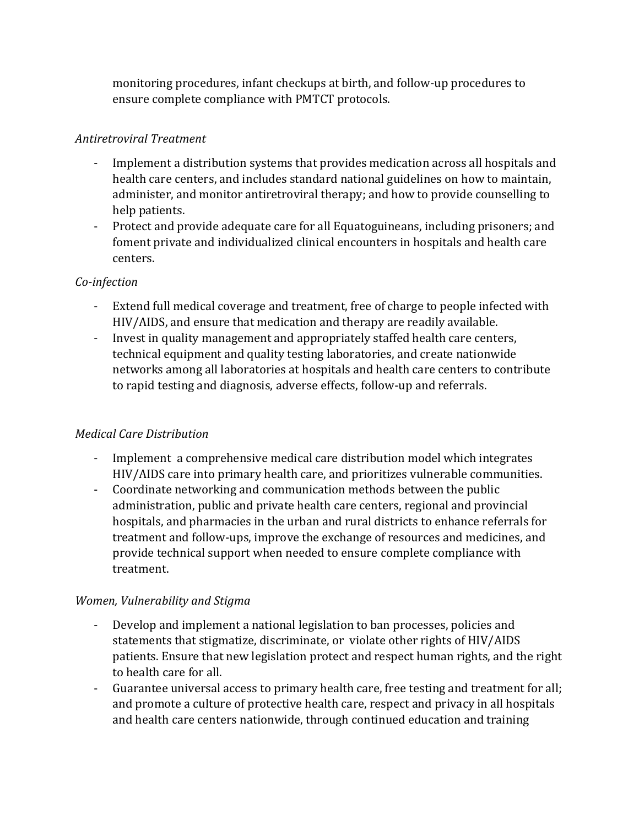monitoring procedures, infant checkups at birth, and follow-up procedures to ensure complete compliance with PMTCT protocols.

#### *Antiretroviral Treatment*

- Implement a distribution systems that provides medication across all hospitals and health care centers, and includes standard national guidelines on how to maintain, administer, and monitor antiretroviral therapy; and how to provide counselling to help patients.
- Protect and provide adequate care for all Equatoguineans, including prisoners; and foment private and individualized clinical encounters in hospitals and health care centers.

#### *Co-infection*

- Extend full medical coverage and treatment, free of charge to people infected with HIV/AIDS, and ensure that medication and therapy are readily available.
- Invest in quality management and appropriately staffed health care centers, technical equipment and quality testing laboratories, and create nationwide networks among all laboratories at hospitals and health care centers to contribute to rapid testing and diagnosis, adverse effects, follow-up and referrals.

#### *Medical Care Distribution*

- Implement a comprehensive medical care distribution model which integrates HIV/AIDS care into primary health care, and prioritizes vulnerable communities.
- Coordinate networking and communication methods between the public administration, public and private health care centers, regional and provincial hospitals, and pharmacies in the urban and rural districts to enhance referrals for treatment and follow-ups, improve the exchange of resources and medicines, and provide technical support when needed to ensure complete compliance with treatment.

#### *Women, Vulnerability and Stigma*

- Develop and implement a national legislation to ban processes, policies and statements that stigmatize, discriminate, or violate other rights of HIV/AIDS patients. Ensure that new legislation protect and respect human rights, and the right to health care for all.
- Guarantee universal access to primary health care, free testing and treatment for all; and promote a culture of protective health care, respect and privacy in all hospitals and health care centers nationwide, through continued education and training